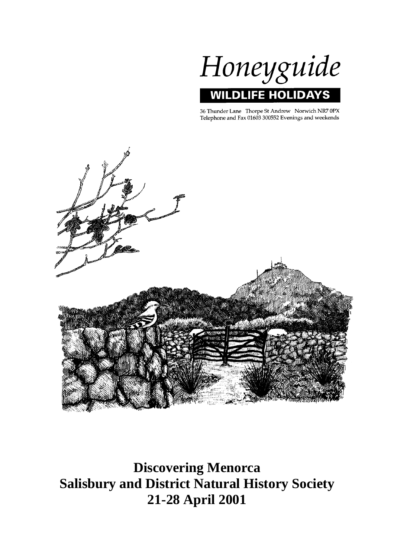

36 Thunder Lane Thorpe St Andrew Norwich NR7 0PX<br>Telephone and Fax 01603 300552 Evenings and weekends



**Discovering Menorca Salisbury and District Natural History Society 21-28 April 2001**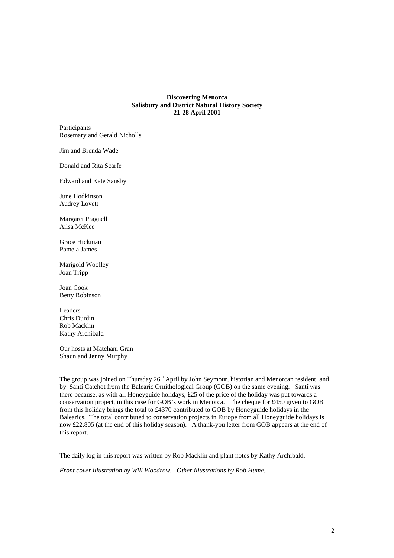#### **Discovering Menorca Salisbury and District Natural History Society 21-28 April 2001**

**Participants** Rosemary and Gerald Nicholls

Jim and Brenda Wade

Donald and Rita Scarfe

Edward and Kate Sansby

June Hodkinson Audrey Lovett

Margaret Pragnell Ailsa McKee

Grace Hickman Pamela James

Marigold Woolley Joan Tripp

Joan Cook Betty Robinson

Leaders Chris Durdin Rob Macklin Kathy Archibald

Our hosts at Matchani Gran Shaun and Jenny Murphy

The group was joined on Thursday 26<sup>th</sup> April by John Seymour, historian and Menorcan resident, and by Santí Catchot from the Balearic Ornithological Group (GOB) on the same evening. Santí was there because, as with all Honeyguide holidays, £25 of the price of the holiday was put towards a conservation project, in this case for GOB's work in Menorca. The cheque for £450 given to GOB from this holiday brings the total to £4370 contributed to GOB by Honeyguide holidays in the Balearics. The total contributed to conservation projects in Europe from all Honeyguide holidays is now £22,805 (at the end of this holiday season). A thank-you letter from GOB appears at the end of this report.

The daily log in this report was written by Rob Macklin and plant notes by Kathy Archibald.

*Front cover illustration by Will Woodrow. Other illustrations by Rob Hume.*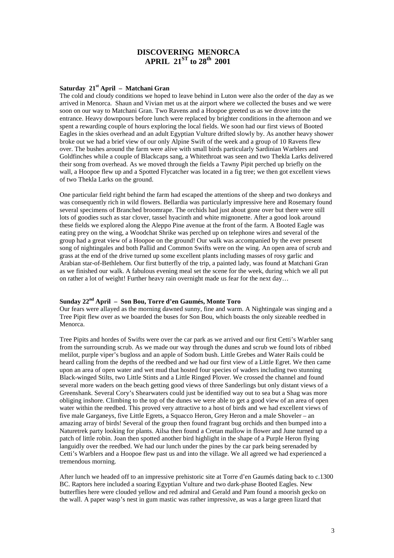# **DISCOVERING MENORCA APRIL 21ST to 28th 2001**

#### **Saturday 21st April – Matchani Gran**

The cold and cloudy conditions we hoped to leave behind in Luton were also the order of the day as we arrived in Menorca. Shaun and Vivian met us at the airport where we collected the buses and we were soon on our way to Matchani Gran. Two Ravens and a Hoopoe greeted us as we drove into the entrance. Heavy downpours before lunch were replaced by brighter conditions in the afternoon and we spent a rewarding couple of hours exploring the local fields. We soon had our first views of Booted Eagles in the skies overhead and an adult Egyptian Vulture drifted slowly by. As another heavy shower broke out we had a brief view of our only Alpine Swift of the week and a group of 10 Ravens flew over. The bushes around the farm were alive with small birds particularly Sardinian Warblers and Goldfinches while a couple of Blackcaps sang, a Whitethroat was seen and two Thekla Larks delivered their song from overhead. As we moved through the fields a Tawny Pipit perched up briefly on the wall, a Hoopoe flew up and a Spotted Flycatcher was located in a fig tree; we then got excellent views of two Thekla Larks on the ground.

One particular field right behind the farm had escaped the attentions of the sheep and two donkeys and was consequently rich in wild flowers. Bellardia was particularly impressive here and Rosemary found several specimens of Branched broomrape. The orchids had just about gone over but there were still lots of goodies such as star clover, tassel hyacinth and white mignonette. After a good look around these fields we explored along the Aleppo Pine avenue at the front of the farm. A Booted Eagle was eating prey on the wing, a Woodchat Shrike was perched up on telephone wires and several of the group had a great view of a Hoopoe on the ground! Our walk was accompanied by the ever present song of nightingales and both Pallid and Common Swifts were on the wing. An open area of scrub and grass at the end of the drive turned up some excellent plants including masses of rosy garlic and Arabian star-of-Bethlehem. Our first butterfly of the trip, a painted lady, was found at Matchani Gran as we finished our walk. A fabulous evening meal set the scene for the week, during which we all put on rather a lot of weight! Further heavy rain overnight made us fear for the next day…

#### **Sunday 22nd April – Son Bou, Torre d'en Gaumés, Monte Toro**

Our fears were allayed as the morning dawned sunny, fine and warm. A Nightingale was singing and a Tree Pipit flew over as we boarded the buses for Son Bou, which boasts the only sizeable reedbed in Menorca.

Tree Pipits and hordes of Swifts were over the car park as we arrived and our first Cetti's Warbler sang from the surrounding scrub. As we made our way through the dunes and scrub we found lots of ribbed melilot, purple viper's bugloss and an apple of Sodom bush. Little Grebes and Water Rails could be heard calling from the depths of the reedbed and we had our first view of a Little Egret. We then came upon an area of open water and wet mud that hosted four species of waders including two stunning Black-winged Stilts, two Little Stints and a Little Ringed Plover. We crossed the channel and found several more waders on the beach getting good views of three Sanderlings but only distant views of a Greenshank. Several Cory's Shearwaters could just be identified way out to sea but a Shag was more obliging inshore. Climbing to the top of the dunes we were able to get a good view of an area of open water within the reedbed. This proved very attractive to a host of birds and we had excellent views of five male Garganeys, five Little Egrets, a Squacco Heron, Grey Heron and a male Shoveler – an amazing array of birds! Several of the group then found fragrant bug orchids and then bumped into a Naturetrek party looking for plants. Ailsa then found a Cretan mallow in flower and June turned up a patch of little robin. Joan then spotted another bird highlight in the shape of a Purple Heron flying languidly over the reedbed. We had our lunch under the pines by the car park being serenaded by Cetti's Warblers and a Hoopoe flew past us and into the village. We all agreed we had experienced a tremendous morning.

After lunch we headed off to an impressive prehistoric site at Torre d'en Gaumés dating back to c.1300 BC. Raptors here included a soaring Egyptian Vulture and two dark-phase Booted Eagles. New butterflies here were clouded yellow and red admiral and Gerald and Pam found a moorish gecko on the wall. A paper wasp's nest in gum mastic was rather impressive, as was a large green lizard that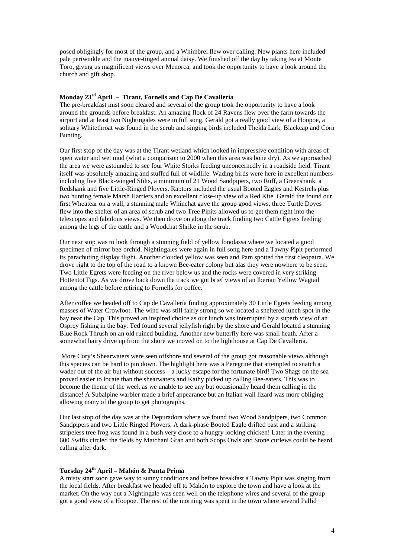posed obligingly for most of the group, and a Whimbrel flew over calling. New plants here included pale periwinkle and the mauve-tinged annual daisy. We finished off the day by taking tea at Monte Toro, giving us magnificent views over Menorca, and took the opportunity to have a look around the church and gift shop.

#### **Monday 23rd April – Tirant, Fornells and Cap De Cavallería**

The pre-breakfast mist soon cleared and several of the group took the opportunity to have a look around the grounds before breakfast. An amazing flock of 24 Ravens flew over the farm towards the airport and at least two Nightingales were in full song. Gerald got a really good view of a Hoopoe, a solitary Whitethroat was found in the scrub and singing birds included Thekla Lark, Blackcap and Corn Bunting.

Our first stop of the day was at the Tirant wetland which looked in impressive condition with areas of open water and wet mud (what a comparison to 2000 when this area was bone dry). As we approached the area we were astounded to see four White Storks feeding unconcernedly in a roadside field. Tirant itself was absolutely amazing and stuffed full of wildlife. Wading birds were here in excellent numbers including five Black-winged Stilts, a minimum of 21 Wood Sandpipers, two Ruff, a Greenshank, a Redshank and five Little-Ringed Plovers. Raptors included the usual Booted Eagles and Kestrels plus two hunting female Marsh Harriers and an excellent close-up view of a Red Kite. Gerald the found our first Wheatear on a wall, a stunning male Whinchat gave the group good views, three Turtle Doves flew into the shelter of an area of scrub and two Tree Pipits allowed us to get them right into the telescopes and fabulous views. We then drove on along the track finding two Cattle Egrets feeding among the legs of the cattle and a Woodchat Shrike in the scrub.

Our next stop was to look through a stunning field of yellow fonolassa where we located a good specimen of mirror bee-orchid. Nightingales were again in full song here and a Tawny Pipit performed its parachuting display flight. Another clouded yellow was seen and Pam spotted the first cleopatra. We drove right to the top of the road to a known Bee-eater colony but alas they were nowhere to be seen. Two Little Egrets were feeding on the river below us and the rocks were covered in very striking Hottentot Figs. As we drove back down the track we got brief views of an Iberian Yellow Wagtail among the cattle before retiring to Fornells for coffee.

After coffee we headed off to Cap de Cavallería finding approximately 30 Little Egrets feeding among masses of Water Crowfoot. The wind was still fairly strong so we located a sheltered lunch spot in the bay near the Cap. This proved an inspired choice as our lunch was interrupted by a superb view of an Osprey fishing in the bay. Ted found several jellyfish right by the shore and Gerald located a stunning Blue Rock Thrush on an old ruined building. Another new butterfly here was small heath. After a somewhat hairy drive up from the shore we moved on to the lighthouse at Cap De Cavallería.

 More Cory's Shearwaters were seen offshore and several of the group got reasonable views although this species can be hard to pin down. The highlight here was a Peregrine that attempted to snatch a wader out of the air but without success – a lucky escape for the fortunate bird! Two Shags on the sea proved easier to locate than the shearwaters and Kathy picked up calling Bee-eaters. This was to become the theme of the week as we unable to see any but occasionally heard them calling in the distance! A Subalpine warbler made a brief appearance but an Italian wall lizard was more obliging allowing many of the group to get photographs.

Our last stop of the day was at the Depuradora where we found two Wood Sandpipers, two Common Sandpipers and two Little Ringed Plovers. A dark-phase Booted Eagle drifted past and a striking stripeless tree frog was found in a bush very close to a hungry looking chicken! Later in the evening 600 Swifts circled the fields by Matchani Gran and both Scops Owls and Stone curlews could be heard calling after dark.

#### **Tuesday 24th April – Mahón & Punta Prima**

A misty start soon gave way to sunny conditions and before breakfast a Tawny Pipit was singing from the local fields. After breakfast we headed off to Mahón to explore the town and have a look at the market. On the way out a Nightingale was seen well on the telephone wires and several of the group got a good view of a Hoopoe. The rest of the morning was spent in the town where several Pallid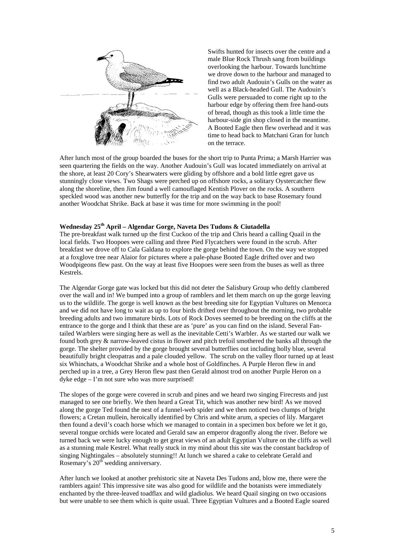

Swifts hunted for insects over the centre and a male Blue Rock Thrush sang from buildings overlooking the harbour. Towards lunchtime we drove down to the harbour and managed to find two adult Audouin's Gulls on the water as well as a Black-headed Gull. The Audouin's Gulls were persuaded to come right up to the harbour edge by offering them free hand-outs of bread, though as this took a little time the harbour-side gin shop closed in the meantime. A Booted Eagle then flew overhead and it was time to head back to Matchani Gran for lunch on the terrace.

After lunch most of the group boarded the buses for the short trip to Punta Prima; a Marsh Harrier was seen quartering the fields on the way. Another Audouin's Gull was located immediately on arrival at the shore, at least 20 Cory's Shearwaters were gliding by offshore and a bold little egret gave us stunningly close views. Two Shags were perched up on offshore rocks, a solitary Oystercatcher flew along the shoreline, then Jim found a well camouflaged Kentish Plover on the rocks. A southern speckled wood was another new butterfly for the trip and on the way back to base Rosemary found another Woodchat Shrike. Back at base it was time for more swimming in the pool!

#### **Wednesday 25th April – Algendar Gorge, Naveta Des Tudons & Ciutadella**

The pre-breakfast walk turned up the first Cuckoo of the trip and Chris heard a calling Quail in the local fields. Two Hoopoes were calling and three Pied Flycatchers were found in the scrub. After breakfast we drove off to Cala Galdana to explore the gorge behind the town. On the way we stopped at a foxglove tree near Alaior for pictures where a pale-phase Booted Eagle drifted over and two Woodpigeons flew past. On the way at least five Hoopoes were seen from the buses as well as three Kestrels.

The Algendar Gorge gate was locked but this did not deter the Salisbury Group who deftly clambered over the wall and in! We bumped into a group of ramblers and let them march on up the gorge leaving us to the wildlife. The gorge is well known as the best breeding site for Egyptian Vultures on Menorca and we did not have long to wait as up to four birds drifted over throughout the morning, two probable breeding adults and two immature birds. Lots of Rock Doves seemed to be breeding on the cliffs at the entrance to the gorge and I think that these are as 'pure' as you can find on the island. Several Fantailed Warblers were singing here as well as the inevitable Cetti's Warbler. As we started our walk we found both grey & narrow-leaved cistus in flower and pitch trefoil smothered the banks all through the gorge. The shelter provided by the gorge brought several butterflies out including holly blue, several beautifully bright cleopatras and a pale clouded yellow. The scrub on the valley floor turned up at least six Whinchats, a Woodchat Shrike and a whole host of Goldfinches. A Purple Heron flew in and perched up in a tree, a Grey Heron flew past then Gerald almost trod on another Purple Heron on a dyke edge – I'm not sure who was more surprised!

The slopes of the gorge were covered in scrub and pines and we heard two singing Firecrests and just managed to see one briefly. We then heard a Great Tit, which was another new bird! As we moved along the gorge Ted found the nest of a funnel-web spider and we then noticed two clumps of bright flowers; a Cretan mullein, heroically identified by Chris and white arum, a species of lily. Margaret then found a devil's coach horse which we managed to contain in a specimen box before we let it go, several tongue orchids were located and Gerald saw an emperor dragonfly along the river. Before we turned back we were lucky enough to get great views of an adult Egyptian Vulture on the cliffs as well as a stunning male Kestrel. What really stuck in my mind about this site was the constant backdrop of singing Nightingales – absolutely stunning!! At lunch we shared a cake to celebrate Gerald and Rosemary's  $20<sup>th</sup>$  wedding anniversary.

After lunch we looked at another prehistoric site at Naveta Des Tudons and, blow me, there were the ramblers again! This impressive site was also good for wildlife and the botanists were immediately enchanted by the three-leaved toadflax and wild gladiolus. We heard Quail singing on two occasions but were unable to see them which is quite usual. Three Egyptian Vultures and a Booted Eagle soared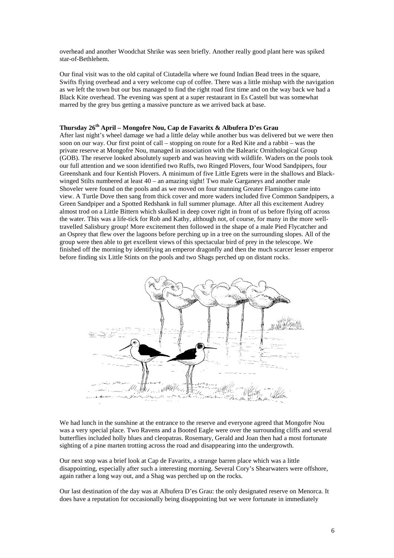overhead and another Woodchat Shrike was seen briefly. Another really good plant here was spiked star-of-Bethlehem.

Our final visit was to the old capital of Ciutadella where we found Indian Bead trees in the square, Swifts flying overhead and a very welcome cup of coffee. There was a little mishap with the navigation as we left the town but our bus managed to find the right road first time and on the way back we had a Black Kite overhead. The evening was spent at a super restaurant in Es Castell but was somewhat marred by the grey bus getting a massive puncture as we arrived back at base.

# **Thursday 26th April – Mongofre Nou, Cap de Favaritx & Albufera D'es Grau**

After last night's wheel damage we had a little delay while another bus was delivered but we were then soon on our way. Our first point of call – stopping on route for a Red Kite and a rabbit – was the private reserve at Mongofre Nou, managed in association with the Balearic Ornithological Group (GOB). The reserve looked absolutely superb and was heaving with wildlife. Waders on the pools took our full attention and we soon identified two Ruffs, two Ringed Plovers, four Wood Sandpipers, four Greenshank and four Kentish Plovers. A minimum of five Little Egrets were in the shallows and Blackwinged Stilts numbered at least 40 – an amazing sight! Two male Garganeys and another male Shoveler were found on the pools and as we moved on four stunning Greater Flamingos came into view. A Turtle Dove then sang from thick cover and more waders included five Common Sandpipers, a Green Sandpiper and a Spotted Redshank in full summer plumage. After all this excitement Audrey almost trod on a Little Bittern which skulked in deep cover right in front of us before flying off across the water. This was a life-tick for Rob and Kathy, although not, of course, for many in the more welltravelled Salisbury group! More excitement then followed in the shape of a male Pied Flycatcher and an Osprey that flew over the lagoons before perching up in a tree on the surrounding slopes. All of the group were then able to get excellent views of this spectacular bird of prey in the telescope. We finished off the morning by identifying an emperor dragonfly and then the much scarcer lesser emperor before finding six Little Stints on the pools and two Shags perched up on distant rocks.



We had lunch in the sunshine at the entrance to the reserve and everyone agreed that Mongofre Nou was a very special place. Two Ravens and a Booted Eagle were over the surrounding cliffs and several butterflies included holly blues and cleopatras. Rosemary, Gerald and Joan then had a most fortunate sighting of a pine marten trotting across the road and disappearing into the undergrowth.

Our next stop was a brief look at Cap de Favaritx, a strange barren place which was a little disappointing, especially after such a interesting morning. Several Cory's Shearwaters were offshore, again rather a long way out, and a Shag was perched up on the rocks.

Our last destination of the day was at Albufera D'es Grau: the only designated reserve on Menorca. It does have a reputation for occasionally being disappointing but we were fortunate in immediately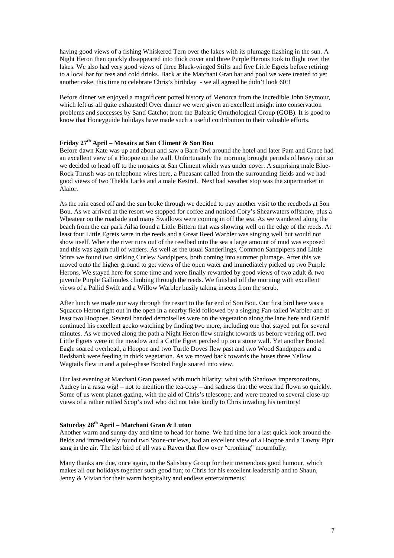having good views of a fishing Whiskered Tern over the lakes with its plumage flashing in the sun. A Night Heron then quickly disappeared into thick cover and three Purple Herons took to flight over the lakes. We also had very good views of three Black-winged Stilts and five Little Egrets before retiring to a local bar for teas and cold drinks. Back at the Matchani Gran bar and pool we were treated to yet another cake, this time to celebrate Chris's birthday - we all agreed he didn't look 60!!

Before dinner we enjoyed a magnificent potted history of Menorca from the incredible John Seymour, which left us all quite exhausted! Over dinner we were given an excellent insight into conservation problems and successes by Santí Catchot from the Balearic Ornithological Group (GOB). It is good to know that Honeyguide holidays have made such a useful contribution to their valuable efforts.

### **Friday 27th April – Mosaics at San Climent & Son Bou**

Before dawn Kate was up and about and saw a Barn Owl around the hotel and later Pam and Grace had an excellent view of a Hoopoe on the wall. Unfortunately the morning brought periods of heavy rain so we decided to head off to the mosaics at San Climent which was under cover. A surprising male Blue-Rock Thrush was on telephone wires here, a Pheasant called from the surrounding fields and we had good views of two Thekla Larks and a male Kestrel. Next bad weather stop was the supermarket in Alaior.

As the rain eased off and the sun broke through we decided to pay another visit to the reedbeds at Son Bou. As we arrived at the resort we stopped for coffee and noticed Cory's Shearwaters offshore, plus a Wheatear on the roadside and many Swallows were coming in off the sea. As we wandered along the beach from the car park Ailsa found a Little Bittern that was showing well on the edge of the reeds. At least four Little Egrets were in the reeds and a Great Reed Warbler was singing well but would not show itself. Where the river runs out of the reedbed into the sea a large amount of mud was exposed and this was again full of waders. As well as the usual Sanderlings, Common Sandpipers and Little Stints we found two striking Curlew Sandpipers, both coming into summer plumage. After this we moved onto the higher ground to get views of the open water and immediately picked up two Purple Herons. We stayed here for some time and were finally rewarded by good views of two adult & two juvenile Purple Gallinules climbing through the reeds. We finished off the morning with excellent views of a Pallid Swift and a Willow Warbler busily taking insects from the scrub.

After lunch we made our way through the resort to the far end of Son Bou. Our first bird here was a Squacco Heron right out in the open in a nearby field followed by a singing Fan-tailed Warbler and at least two Hoopoes. Several banded demoiselles were on the vegetation along the lane here and Gerald continued his excellent gecko watching by finding two more, including one that stayed put for several minutes. As we moved along the path a Night Heron flew straight towards us before veering off, two Little Egrets were in the meadow and a Cattle Egret perched up on a stone wall. Yet another Booted Eagle soared overhead, a Hoopoe and two Turtle Doves flew past and two Wood Sandpipers and a Redshank were feeding in thick vegetation. As we moved back towards the buses three Yellow Wagtails flew in and a pale-phase Booted Eagle soared into view.

Our last evening at Matchani Gran passed with much hilarity; what with Shadows impersonations, Audrey in a rasta wig! – not to mention the tea-cosy – and sadness that the week had flown so quickly. Some of us went planet-gazing, with the aid of Chris's telescope, and were treated to several close-up views of a rather rattled Scop's owl who did not take kindly to Chris invading his territory!

## **Saturday 28th April – Matchani Gran & Luton**

Another warm and sunny day and time to head for home. We had time for a last quick look around the fields and immediately found two Stone-curlews, had an excellent view of a Hoopoe and a Tawny Pipit sang in the air. The last bird of all was a Raven that flew over "cronking" mournfully.

Many thanks are due, once again, to the Salisbury Group for their tremendous good humour, which makes all our holidays together such good fun; to Chris for his excellent leadership and to Shaun, Jenny & Vivian for their warm hospitality and endless entertainments!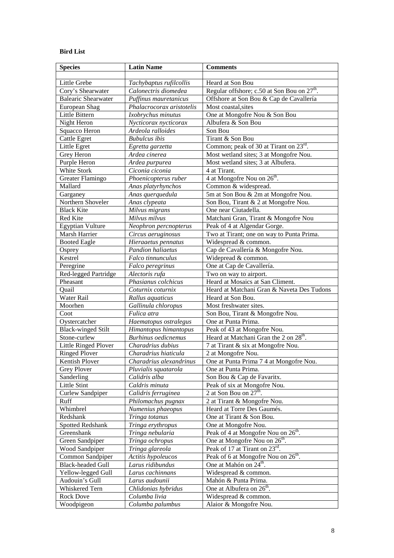# **Bird List**

| <b>Species</b>             | <b>Latin Name</b>          | <b>Comments</b>                                         |
|----------------------------|----------------------------|---------------------------------------------------------|
|                            |                            |                                                         |
| Little Grebe               | Tachybaptus rufilcollis    | Heard at Son Bou                                        |
| Cory's Shearwater          | Calonectris diomedea       | Regular offshore; c.50 at Son Bou on 27 <sup>th</sup> . |
| <b>Balearic Shearwater</b> | Puffinus mauretanicus      | Offshore at Son Bou & Cap de Cavallería                 |
| European Shag              | Phalacrocorax aristotelis  | Most coastal, sites                                     |
| Little Bittern             | Ixobrychus minutus         | One at Mongofre Nou & Son Bou                           |
| Night Heron                | Nycticorax nycticorax      | Albufera & Son Bou                                      |
| Squacco Heron              | Ardeola ralloides          | Son Bou                                                 |
| <b>Cattle Egret</b>        | <b>Bubulcus</b> ibis       | Tirant & Son Bou                                        |
| Little Egret               | Egretta garzetta           | Common; peak of 30 at Tirant on 23rd.                   |
| Grey Heron                 | Ardea cinerea              | Most wetland sites; 3 at Mongofre Nou.                  |
| Purple Heron               | Ardea purpurea             | Most wetland sites; 3 at Albufera.                      |
| White Stork                | Ciconia ciconia            | 4 at Tirant.                                            |
| Greater Flamingo           | Phoenicopterus ruber       | 4 at Mongofre Nou on $26^{\text{th}}$ .                 |
| Mallard                    | Anas platyrhynchos         | Common & widespread.                                    |
| Garganey                   | Anas querquedula           | 5m at Son Bou & 2m at Mongofre Nou.                     |
| Northern Shoveler          | Anas clypeata              | Son Bou, Tirant & 2 at Mongofre Nou.                    |
| <b>Black Kite</b>          | Milvus migrans             | One near Ciutadella.                                    |
| Red Kite                   | Milvus milvus              | Matchani Gran, Tirant & Mongofre Nou                    |
| <b>Egyptian Vulture</b>    | Neophron percnopterus      | Peak of 4 at Algendar Gorge.                            |
| Marsh Harrier              | Circus aeruginosus         | Two at Tirant; one on way to Punta Prima.               |
| <b>Booted Eagle</b>        | Hieraaetus pennatus        | Widespread & common.                                    |
| Osprey                     | <b>Pandion haliaetus</b>   | Cap de Cavallería & Mongofre Nou.                       |
| Kestrel                    | Falco tinnunculus          | Widepread & common.                                     |
| Peregrine                  | Falco peregrinus           | One at Cap de Cavallería.                               |
| Red-legged Partridge       | Alectoris rufa             | Two on way to airport.                                  |
| Pheasant                   | Phasianus colchicus        | Heard at Mosaics at San Climent.                        |
| Quail                      | Coturnix coturnix          | Heard at Matchani Gran & Naveta Des Tudons              |
| Water Rail                 | Rallus aquaticus           | Heard at Son Bou.                                       |
| Moorhen                    | Gallinula chloropus        | Most freshwater sites.                                  |
| Coot                       | Fulica atra                | Son Bou, Tirant & Mongofre Nou.                         |
| Oystercatcher              | Haematopus ostralegus      | One at Punta Prima.                                     |
| <b>Black-winged Stilt</b>  | Himantopus himantopus      | Peak of 43 at Mongofre Nou.                             |
| Stone-curlew               | <b>Burhinus oedicnemus</b> | Heard at Matchani Gran the 2 on 28 <sup>th</sup> .      |
| Little Ringed Plover       | Charadrius dubius          | 7 at Tirant & six at Mongofre Nou.                      |
| <b>Ringed Plover</b>       | Charadrius hiaticula       | 2 at Mongofre Nou.                                      |
| Kentish Plover             | Charadrius alexandrinus    | One at Punta Prima 7 4 at Mongofre Nou.                 |
| Grey Plover                | Pluvialis squatarola       | One at Punta Prima.                                     |
| Sanderling                 | Calidris alba              | Son Bou & Cap de Favaritx.                              |
| Little Stint               | Caldris minuta             | Peak of six at Mongofre Nou.                            |
| Curlew Sandpiper           | Calidris ferruginea        | 2 at Son Bou on $27^{\text{th}}$ .                      |
| Ruff                       | Philomachus pugnax         | 2 at Tirant & Mongofre Nou.                             |
| Whimbrel                   | Numenius phaeopus          | Heard at Torre Des Gaumés.                              |
| Redshank                   | Tringa totanus             | One at Tirant & Son Bou.                                |
| Spotted Redshank           | Tringa erythropus          | One at Mongofre Nou.                                    |
| Greenshank                 | Tringa nebularia           | Peak of 4 at Mongofre Nou on 26 <sup>th</sup> .         |
| Green Sandpiper            | Tringa ochropus            | One at Mongofre Nou on $26th$ .                         |
| <b>Wood Sandpiper</b>      | Tringa glareola            | Peak of 17 at Tirant on $23^{\text{rd}}$ .              |
| Common Sandpiper           | Actitis hypoleucos         | Peak of 6 at Mongofre Nou on 26 <sup>th</sup> .         |
| <b>Black-headed Gull</b>   | Larus ridibundus           | One at Mahón on $24^{\text{th}}$ .                      |
| Yellow-legged Gull         | Larus cachinnans           | Widespread & common.                                    |
| Audouin's Gull             | Larus audounii             | Mahón & Punta Prima.                                    |
| Whiskered Tern             | Chlidonias hybridus        | One at Albufera on $26^{\text{th}}$ .                   |
| <b>Rock Dove</b>           | Columba livia              | Widespread & common.                                    |
| Woodpigeon                 | Columba palumbus           | Alaior & Mongofre Nou.                                  |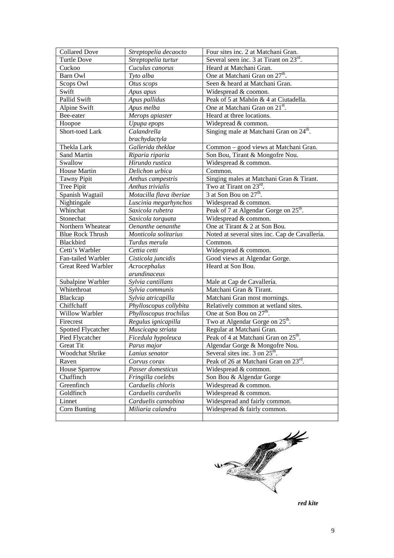| <b>Collared Dove</b>      | Streptopelia decaocto   | Four sites inc. 2 at Matchani Gran.                 |
|---------------------------|-------------------------|-----------------------------------------------------|
| <b>Turtle Dove</b>        | Streptopelia turtur     | Several seen inc. 3 at Tirant on 23rd.              |
| Cuckoo                    | Cuculus canorus         | Heard at Matchani Gran.                             |
| Barn Owl                  | Tyto alba               | One at Matchani Gran on 27 <sup>th</sup> .          |
| Scops Owl                 | Otus scops              | Seen & heard at Matchani Gran.                      |
| Swift                     | Apus apus               | Widespread & coomon.                                |
| Pallid Swift              | Apus pallidus           | Peak of 5 at Mahón & 4 at Ciutadella.               |
| Alpine Swift              | Apus melba              | One at Matchani Gran on 21 <sup>st</sup> .          |
| Bee-eater                 | Merops apiaster         | Heard at three locations.                           |
| Hoopoe                    | Upupa epops             | Widepread & common.                                 |
| Short-toed Lark           | Calandrella             | Singing male at Matchani Gran on 24 <sup>th</sup> . |
|                           | brachydactyla           |                                                     |
| Thekla Lark               | Gallerida theklae       | Common - good views at Matchani Gran.               |
| Sand Martin               | Riparia riparia         | Son Bou, Tirant & Mongofre Nou.                     |
| Swallow                   | Hirundo rustica         | Widespread & common.                                |
| House Martin              | Delichon urbica         | Common.                                             |
| <b>Tawny Pipit</b>        | Anthus campestris       | Singing males at Matchani Gran & Tirant.            |
| Tree Pipit                | Anthus trivialis        | Two at Tirant on $23^{\text{rd}}$ .                 |
| Spanish Wagtail           | Motacilla flava iberiae | 3 at Son Bou on $27th$ .                            |
| Nightingale               | Luscinia megarhynchos   | Widespread & common.                                |
| Whinchat                  | Saxicola rubetra        | Peak of 7 at Algendar Gorge on 25 <sup>th</sup> .   |
| Stonechat                 | Saxicola torquata       | Widespread & common.                                |
| Northern Wheatear         | Oenanthe oenanthe       | One at Tirant & 2 at Son Bou.                       |
| <b>Blue Rock Thrush</b>   | Monticola solitarius    | Noted at several sites inc. Cap de Cavallería.      |
| Blackbird                 | Turdus merula           | Common.                                             |
| Cetti's Warbler           | Cettia cetti            | Widespread & common.                                |
| Fan-tailed Warbler        | Cisticola juncidis      | Good views at Algendar Gorge.                       |
| <b>Great Reed Warbler</b> | Acrocephalus            | Heard at Son Bou.                                   |
|                           | arundinaceus            |                                                     |
| Subalpine Warbler         | Sylvia cantillans       | Male at Cap de Cavallería.                          |
| Whitethroat               | Sylvia communis         | Matchani Gran & Tirant.                             |
| Blackcap                  | Sylvia atricapilla      | Matchani Gran most mornings.                        |
| Chiffchaff                | Phylloscopus collybita  | Relatively common at wetland sites.                 |
| Willow Warbler            | Phylloscopus trochilus  | One at Son Bou on 27 <sup>th</sup> .                |
| Firecrest                 | Regulus ignicapilla     | Two at Algendar Gorge on 25 <sup>th</sup> .         |
| Spotted Flycatcher        | Muscicapa striata       | Regular at Matchani Gran.                           |
| Pied Flycatcher           | Ficedula hypoleuca      | Peak of 4 at Matchani Gran on 25 <sup>th</sup> .    |
| Great Tit                 | Parus major             | Algendar Gorge & Mongofre Nou.                      |
| Woodchat Shrike           | Lanius senator          | Several sites inc. 3 on $25^{\text{th}}$ .          |
| Raven                     | Corvus corax            | Peak of 26 at Matchani Gran on 23rd.                |
| House Sparrow             | Passer domesticus       | Widespread & common.                                |
| Chaffinch                 | Fringilla coelebs       | Son Bou & Algendar Gorge                            |
| Greenfinch                | Carduelis chloris       | Widespread & common.                                |
| Goldfinch                 | Carduelis carduelis     | Widespread & common.                                |
| Linnet                    | Carduelis cannabina     | Widespread and fairly common.                       |
| Corn Bunting              | Miliaria calandra       | Widespread & fairly common.                         |
|                           |                         |                                                     |

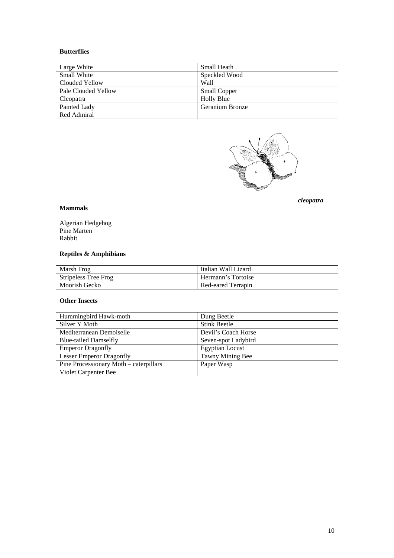# **Butterflies**

| Large White         | Small Heath         |
|---------------------|---------------------|
| Small White         | Speckled Wood       |
| Clouded Yellow      | Wall                |
| Pale Clouded Yellow | <b>Small Copper</b> |
| Cleopatra           | <b>Holly Blue</b>   |
| Painted Lady        | Geranium Bronze     |
| Red Admiral         |                     |



*cleopatra*

### **Mammals**

Algerian Hedgehog Pine Marten Rabbit

# **Reptiles & Amphibians**

| Marsh Frog           | Italian Wall Lizard |
|----------------------|---------------------|
| Stripeless Tree Frog | Hermann's Tortoise  |
| Moorish Gecko        | Red-eared Terrapin  |

# **Other Insects**

| Hummingbird Hawk-moth                  | Dung Beetle            |
|----------------------------------------|------------------------|
| Silver Y Moth                          | <b>Stink Beetle</b>    |
| Mediterranean Demoiselle               | Devil's Coach Horse    |
| <b>Blue-tailed Damselfly</b>           | Seven-spot Ladybird    |
| <b>Emperor Dragonfly</b>               | <b>Egyptian Locust</b> |
| <b>Lesser Emperor Dragonfly</b>        | Tawny Mining Bee       |
| Pine Processionary Moth – caterpillars | Paper Wasp             |
| Violet Carpenter Bee                   |                        |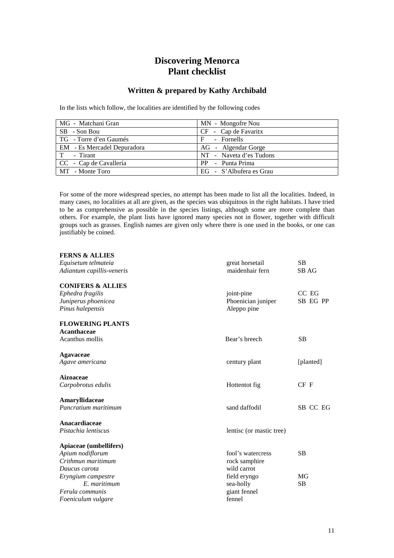# **Discovering Menorca Plant checklist**

# **Written & prepared by Kathy Archibald**

In the lists which follow, the localities are identified by the following codes

| MG - Matchani Gran          | MN - Mongofre Nou       |
|-----------------------------|-------------------------|
| SB - Son Bou                | $CF - Cap$ de Favaritx  |
| TG - Torre d'en Gaumés      | - Fornells<br>F.        |
| EM - Es Mercadel Depuradora | AG - Algendar Gorge     |
| T - Tirant                  | NT - Naveta d'es Tudons |
| CC - Cap de Cavallería      | PP - Punta Prima        |
| MT - Monte Toro             | EG - S'Albufera es Grau |

For some of the more widespread species, no attempt has been made to list all the localities. Indeed, in many cases, no localities at all are given, as the species was ubiquitous in the right habitats. I have tried to be as comprehensive as possible in the species listings, although some are more complete than others. For example, the plant lists have ignored many species not in flower, together with difficult groups such as grasses. English names are given only where there is one used in the books, or one can justifiably be coined.

| <b>FERNS &amp; ALLIES</b>    |                          |           |
|------------------------------|--------------------------|-----------|
| Equisetum telmateia          | great horsetail          | <b>SB</b> |
| Adiantum capillis-veneris    | maidenhair fern          | SB AG     |
| <b>CONIFERS &amp; ALLIES</b> |                          |           |
| Ephedra fragilis             | joint-pine               | CC EG     |
| Juniperus phoenicea          | Phoenician juniper       | SB EG PP  |
| Pinus halepensis             | Aleppo pine              |           |
| <b>FLOWERING PLANTS</b>      |                          |           |
| Acanthaceae                  |                          |           |
| Acanthus mollis              | Bear's breech            | <b>SB</b> |
| Agavaceae                    |                          |           |
| Agave americana              | century plant            | [planted] |
| Aizoaceae                    |                          |           |
| Carpobrotus edulis           | Hottentot fig            | CFF       |
| Amaryllidaceae               |                          |           |
| Pancratium maritimum         | sand daffodil            | SB CC EG  |
| Anacardiaceae                |                          |           |
| Pistachia lentiscus          | lentisc (or mastic tree) |           |
| Apiaceae (umbellifers)       |                          |           |
| Apium nodiflorum             | fool's watercress        | <b>SB</b> |
| Crithmun maritimum           | rock samphire            |           |
| Daucus carota                | wild carrot              |           |
| Eryngium campestre           | field eryngo             | MG        |
| E. maritimum                 | sea-holly                | <b>SB</b> |
| Ferula communis              | giant fennel             |           |
| Foeniculum vulgare           | fennel                   |           |
|                              |                          |           |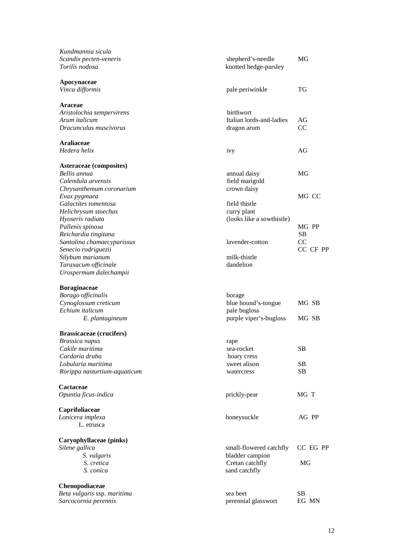| Kundmannia sicula               |                           |           |
|---------------------------------|---------------------------|-----------|
| Scandix pecten-veneris          | shepherd's-needle         | MG        |
| Torilis nodosa                  | knotted hedge-parsley     |           |
| Apocynaceae                     |                           |           |
| Vinca difformis                 | pale periwinkle           | TG        |
|                                 |                           |           |
| <b>Araceae</b>                  |                           |           |
| Aristolochia sempervirens       | birthwort                 |           |
| Arum italicum                   | Italian lords-and-ladies  | AG        |
| Dracunculus muscivorus          | dragon arum               | CC        |
| <b>Araliaceae</b>               |                           |           |
| Hedera helix                    | ivy                       | AG        |
| Asteraceae (composites)         |                           |           |
| Bellis annua                    | annual daisy              | MG        |
| Calendula arvensis              | field marigold            |           |
| Chrysanthemum coronarium        | crown daisy               |           |
| Evax pygmaea                    |                           | MG CC     |
| Galactites tomentosa            | field thistle             |           |
| Helichrysum stoechas            | curry plant               |           |
| Hyoseris radiata                | (looks like a sowthistle) |           |
| Pallenis spinosa                |                           | MG PP     |
| Reichardia tingitana            |                           | <b>SB</b> |
| Santolina chamaecyparissus      | lavender-cotton           | CC        |
| Senecio rodriguezii             |                           | CC CF PP  |
| Silybum marianum                | milk-thistle              |           |
| Taraxacum officinale            | dandelion                 |           |
| Urospermum dalechampii          |                           |           |
| <b>Boraginaceae</b>             |                           |           |
| Borago officinalis              | borage                    |           |
| Cynoglossum creticum            | blue hound's-tongue       | MG SB     |
| Echium italicum                 | pale bugloss              |           |
| E. plantagineum                 | purple viper's-bugloss    | MG SB     |
|                                 |                           |           |
| <b>Brassicaceae</b> (crucifers) |                           |           |
| <b>Brassica</b> napus           | rape                      |           |
| Cakile maritima                 | sea-rocket                | SB        |
| Cardaria draba                  | hoary cress               |           |
| Lobularia maritima              | sweet alison              | <b>SB</b> |
| Rorippa nasturtium-aquaticum    | watercress                | SB        |
| Cactaceae                       |                           |           |
| Opuntia ficus-indica            | prickly-pear              | MG T      |
| Caprifoliaceae                  |                           |           |
| Lonicera implexa                | honeysuckle               | AG PP     |
| L. etrusca                      |                           |           |
| Caryophyllaceae (pinks)         |                           |           |
| Silene gallica                  | small-flowered catchfly   | CC EG PP  |
| S. vulgaris                     | bladder campion           |           |
| S. cretica                      | Cretan catchfly           | MG        |
| S. conica                       | sand catchfly             |           |
| Chenopodiaceae                  |                           |           |
| Beta vulgaris ssp. maritima     | sea beet                  | SB        |
| Sarcocornia perennis            | perennial glasswort       | EG MN     |
|                                 |                           |           |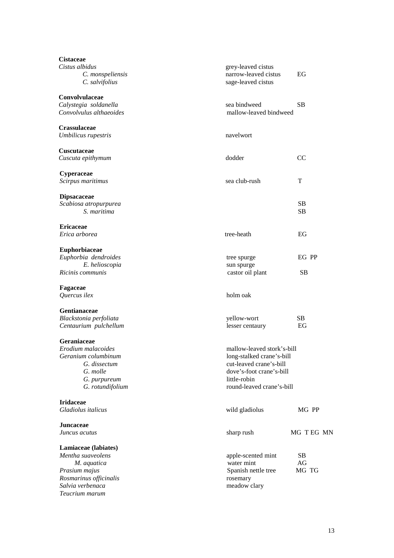| <b>Cistaceae</b>        |                            |               |  |
|-------------------------|----------------------------|---------------|--|
| Cistus albidus          | grey-leaved cistus         |               |  |
| C. monspeliensis        | narrow-leaved cistus       | EG            |  |
| C. salvifolius          | sage-leaved cistus         |               |  |
| Convolvulaceae          |                            |               |  |
| Calystegia soldanella   | sea bindweed               | <b>SB</b>     |  |
| Convolvulus althaeoides | mallow-leaved bindweed     |               |  |
| <b>Crassulaceae</b>     |                            |               |  |
| Umbilicus rupestris     | navelwort                  |               |  |
| Cuscutaceae             |                            |               |  |
| Cuscuta epithymum       | dodder                     | <sub>CC</sub> |  |
| Cyperaceae              |                            |               |  |
| Scirpus maritimus       | sea club-rush              | T             |  |
| <b>Dipsacaceae</b>      |                            |               |  |
| Scabiosa atropurpurea   |                            | <b>SB</b>     |  |
| S. maritima             |                            | <b>SB</b>     |  |
| <b>Ericaceae</b>        |                            |               |  |
| Erica arborea           | tree-heath                 | EG            |  |
| Euphorbiaceae           |                            |               |  |
| Euphorbia dendroides    | tree spurge                | EG PP         |  |
| E. helioscopia          | sun spurge                 |               |  |
| Ricinis communis        | castor oil plant           | <b>SB</b>     |  |
| Fagaceae                |                            |               |  |
| Quercus ilex            | holm oak                   |               |  |
| Gentianaceae            |                            |               |  |
| Blackstonia perfoliata  | yellow-wort                | <b>SB</b>     |  |
| Centaurium pulchellum   | lesser centaury            | EG            |  |
| Geraniaceae             |                            |               |  |
| Erodium malacoides      | mallow-leaved stork's-bill |               |  |
| Geranium columbinum     | long-stalked crane's-bill  |               |  |
| G. dissectum            | cut-leaved crane's-bill    |               |  |
| G. molle                | dove's-foot crane's-bill   |               |  |
| G. purpureum            | little-robin               |               |  |
| G. rotundifolium        | round-leaved crane's-bill  |               |  |
| <b>Iridaceae</b>        |                            |               |  |
| Gladiolus italicus      | wild gladiolus             | MG PP         |  |
| <b>Juncaceae</b>        |                            |               |  |
| Juncus acutus           | sharp rush                 | MG TEG MN     |  |
| Lamiaceae (labiates)    |                            |               |  |
| Mentha suaveolens       | apple-scented mint         | <b>SB</b>     |  |
| M. aquatica             | water mint                 | AG            |  |
| Prasium majus           | Spanish nettle tree        | MG TG         |  |
| Rosmarinus officinalis  | rosemary                   |               |  |
| Salvia verbenaca        | meadow clary               |               |  |
| Teucrium marum          |                            |               |  |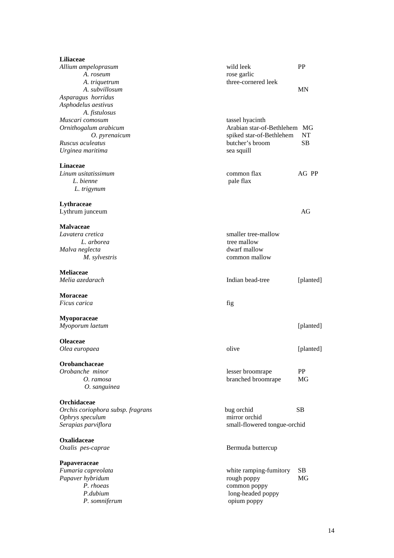| <b>Liliaceae</b>                  |                              |           |
|-----------------------------------|------------------------------|-----------|
| Allium ampeloprasum               | wild leek                    | <b>PP</b> |
| A. roseum                         | rose garlic                  |           |
| A. triquetrum                     | three-cornered leek          |           |
| A. subvillosum                    |                              | <b>MN</b> |
| Asparagus horridus                |                              |           |
| Asphodelus aestivus               |                              |           |
| A. fistulosus                     |                              |           |
| Muscari comosum                   | tassel hyacinth              |           |
| Ornithogalum arabicum             | Arabian star-of-Bethlehem MG |           |
| O. pyrenaicum                     | spiked star-of-Bethlehem     | NT        |
| Ruscus aculeatus                  | butcher's broom              | <b>SB</b> |
| Urginea maritima                  | sea squill                   |           |
| <b>Linaceae</b>                   |                              |           |
| Linum usitatissimum               | common flax                  | AG PP     |
| L. bienne                         | pale flax                    |           |
| L. trigynum                       |                              |           |
| Lythraceae                        |                              |           |
| Lythrum junceum                   |                              | AG        |
| <b>Malvaceae</b>                  |                              |           |
| Lavatera cretica                  | smaller tree-mallow          |           |
| L. arborea                        | tree mallow                  |           |
| Malva neglecta                    | dwarf mallow                 |           |
| M. sylvestris                     | common mallow                |           |
| <b>Meliaceae</b>                  |                              |           |
| Melia azedarach                   | Indian bead-tree             | [planted] |
| <b>Moraceae</b>                   |                              |           |
| Ficus carica                      | fig                          |           |
| Myoporaceae                       |                              |           |
| Myoporum laetum                   |                              | [planted] |
|                                   |                              |           |
| <b>Oleaceae</b>                   |                              |           |
| Olea europaea                     | olive                        | [planted] |
| Orobanchaceae                     |                              |           |
| Orobanche minor                   | lesser broomrape             | PP        |
| O. ramosa                         | branched broomrape           | MG        |
| O. sanguinea                      |                              |           |
| <b>Orchidaceae</b>                |                              |           |
| Orchis coriophora subsp. fragrans | bug orchid                   | <b>SB</b> |
| Ophrys speculum                   | mirror orchid                |           |
| Serapias parviflora               | small-flowered tongue-orchid |           |
| <b>Oxalidaceae</b>                |                              |           |
| Oxalis pes-caprae                 | Bermuda buttercup            |           |
| Papaveraceae                      |                              |           |
| Fumaria capreolata                | white ramping-fumitory       | <b>SB</b> |
| Papaver hybridum                  | rough poppy                  | MG        |
| P. rhoeas                         | common poppy                 |           |
| P.dubium                          | long-headed poppy            |           |
| P. somniferum                     | opium poppy                  |           |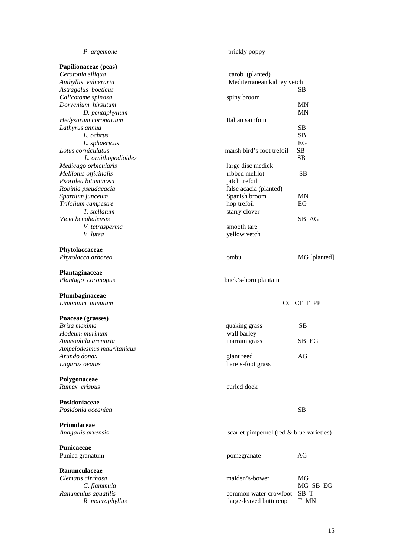| P. argemone               | prickly poppy                            |              |
|---------------------------|------------------------------------------|--------------|
| Papilionaceae (peas)      |                                          |              |
| Ceratonia siliqua         | carob (planted)                          |              |
| Anthyllis vulneraria      | Mediterranean kidney vetch               |              |
| Astragalus boeticus       |                                          | SВ           |
| Calicotome spinosa        | spiny broom                              |              |
| Dorycnium hirsutum        |                                          | <b>MN</b>    |
| D. pentaphyllum           |                                          | <b>MN</b>    |
| Hedysarum coronarium      | Italian sainfoin                         |              |
| Lathyrus annua            |                                          | <b>SB</b>    |
| L. ochrus                 |                                          | <b>SB</b>    |
| L. sphaericus             |                                          | EG           |
| Lotus corniculatus        | marsh bird's foot trefoil                | <b>SB</b>    |
| L. ornithopodioides       |                                          | <b>SB</b>    |
| Medicago orbicularis      | large disc medick                        |              |
| Melilotus officinalis     | ribbed melilot                           | <b>SB</b>    |
| Psoralea bituminosa       | pitch trefoil                            |              |
| Robinia pseudacacia       | false acacia (planted)                   |              |
| Spartium junceum          | Spanish broom                            | MN           |
| Trifolium campestre       | hop trefoil                              | EG           |
| T. stellatum              |                                          |              |
|                           | starry clover                            | SB AG        |
| Vicia benghalensis        |                                          |              |
| V. tetrasperma            | smooth tare                              |              |
| V. lutea                  | yellow vetch                             |              |
| Phytolaccaceae            |                                          |              |
| Phytolacca arborea        | ombu                                     | MG [planted] |
| Plantaginaceae            |                                          |              |
| Plantago coronopus        | buck's-horn plantain                     |              |
| Plumbaginaceae            |                                          |              |
| Limonium minutum          |                                          | CC CF F PP   |
|                           |                                          |              |
| Poaceae (grasses)         |                                          |              |
| Briza maxima              | quaking grass                            | <b>SB</b>    |
| Hodeum murinum            | wall barley                              |              |
| Ammophila arenaria        | marram grass                             | SB EG        |
| Ampelodesmus mauritanicus |                                          |              |
| Arundo donax              | giant reed                               | AG           |
| Lagurus ovatus            | hare's-foot grass                        |              |
| Polygonaceae              |                                          |              |
| Rumex crispus             | curled dock                              |              |
| Posidoniaceae             |                                          |              |
| Posidonia oceanica        |                                          | <b>SB</b>    |
| Primulaceae               |                                          |              |
| Anagallis arvensis        | scarlet pimpernel (red & blue varieties) |              |
| Punicaceae                |                                          |              |
| Punica granatum           |                                          | AG           |
|                           | pomegranate                              |              |
| Ranunculaceae             |                                          |              |
| Clematis cirrhosa         | maiden's-bower                           | MG           |
| C. flammula               |                                          | MG SB EG     |
| Ranunculus aquatilis      | common water-crowfoot                    | SB T         |
| R. macrophyllus           | large-leaved buttercup                   | T MN         |